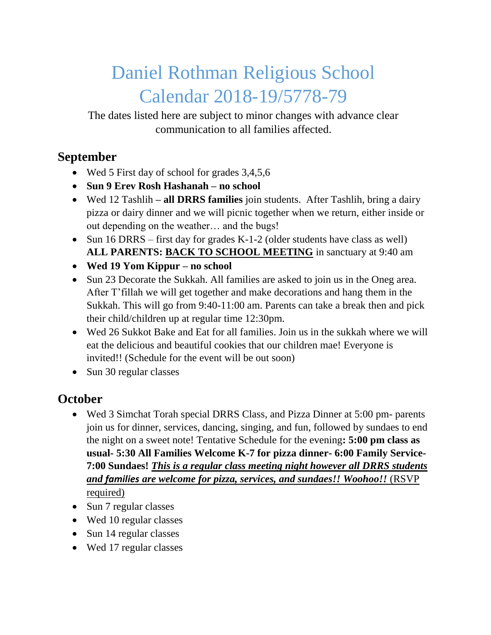# Daniel Rothman Religious School Calendar 2018-19/5778-79

The dates listed here are subject to minor changes with advance clear communication to all families affected.

## **September**

- Wed 5 First day of school for grades 3,4,5,6
- **Sun 9 Erev Rosh Hashanah – no school**
- Wed 12 Tashlih **– all DRRS families** join students. After Tashlih, bring a dairy pizza or dairy dinner and we will picnic together when we return, either inside or out depending on the weather… and the bugs!
- Sun 16 DRRS first day for grades K-1-2 (older students have class as well) **ALL PARENTS: BACK TO SCHOOL MEETING** in sanctuary at 9:40 am
- **Wed 19 Yom Kippur – no school**
- Sun 23 Decorate the Sukkah. All families are asked to join us in the Oneg area. After T'fillah we will get together and make decorations and hang them in the Sukkah. This will go from 9:40-11:00 am. Parents can take a break then and pick their child/children up at regular time 12:30pm.
- Wed 26 Sukkot Bake and Eat for all families. Join us in the sukkah where we will eat the delicious and beautiful cookies that our children mae! Everyone is invited!! (Schedule for the event will be out soon)
- Sun 30 regular classes

## **October**

- Wed 3 Simchat Torah special DRRS Class, and Pizza Dinner at 5:00 pm- parents join us for dinner, services, dancing, singing, and fun, followed by sundaes to end the night on a sweet note! Tentative Schedule for the evening**: 5:00 pm class as usual- 5:30 All Families Welcome K-7 for pizza dinner- 6:00 Family Service-7:00 Sundaes!** *This is a regular class meeting night however all DRRS students and families are welcome for pizza, services, and sundaes!! Woohoo!!* (RSVP required)
- Sun 7 regular classes
- Wed 10 regular classes
- Sun 14 regular classes
- Wed 17 regular classes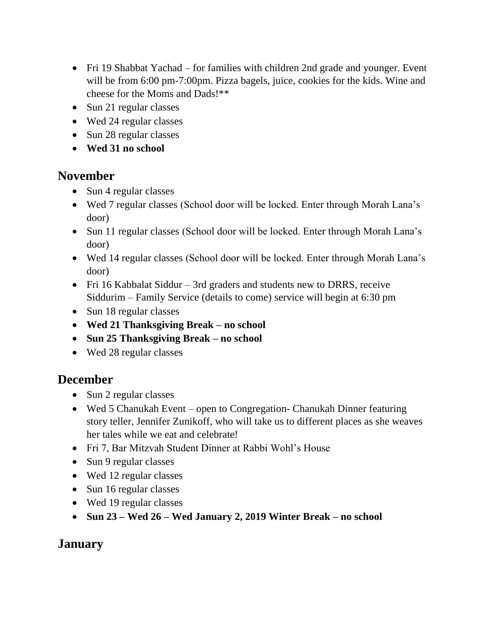- Fri 19 Shabbat Yachad for families with children 2nd grade and younger. Event will be from 6:00 pm-7:00pm. Pizza bagels, juice, cookies for the kids. Wine and cheese for the Moms and Dads!\*\*
- Sun 21 regular classes
- Wed 24 regular classes
- Sun 28 regular classes
- **Wed 31 no school**

#### **November**

- Sun 4 regular classes
- Wed 7 regular classes (School door will be locked. Enter through Morah Lana's door)
- Sun 11 regular classes (School door will be locked. Enter through Morah Lana's door)
- Wed 14 regular classes (School door will be locked. Enter through Morah Lana's door)
- Fri 16 Kabbalat Siddur 3rd graders and students new to DRRS, receive Siddurim – Family Service (details to come) service will begin at 6:30 pm
- Sun 18 regular classes
- **Wed 21 Thanksgiving Break – no school**
- **Sun 25 Thanksgiving Break – no school**
- Wed 28 regular classes

## **December**

- Sun 2 regular classes
- Wed 5 Chanukah Event open to Congregation- Chanukah Dinner featuring story teller, Jennifer Zunikoff, who will take us to different places as she weaves her tales while we eat and celebrate!
- Fri 7, Bar Mitzvah Student Dinner at Rabbi Wohl's House
- Sun 9 regular classes
- Wed 12 regular classes
- Sun 16 regular classes
- Wed 19 regular classes
- **Sun 23 – Wed 26 – Wed January 2, 2019 Winter Break – no school**

## **January**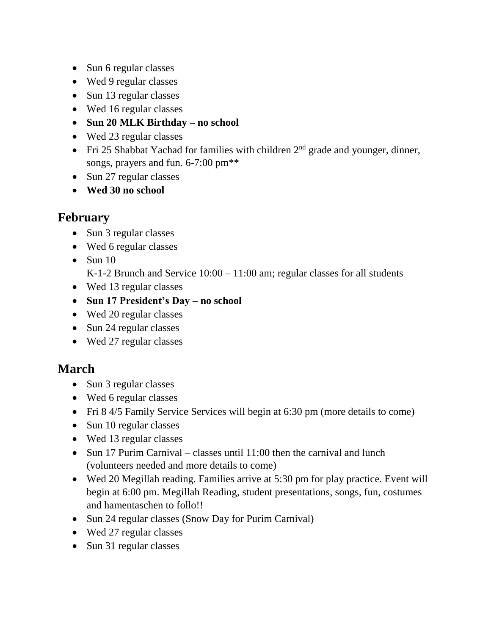- Sun 6 regular classes
- Wed 9 regular classes
- Sun 13 regular classes
- Wed 16 regular classes
- **Sun 20 MLK Birthday – no school**
- Wed 23 regular classes
- Fri 25 Shabbat Yachad for families with children  $2<sup>nd</sup>$  grade and younger, dinner, songs, prayers and fun. 6-7:00 pm\*\*
- Sun 27 regular classes
- **Wed 30 no school**

## **February**

- Sun 3 regular classes
- Wed 6 regular classes
- $\bullet$  Sun 10
	- K-1-2 Brunch and Service 10:00 11:00 am; regular classes for all students
- Wed 13 regular classes
- **Sun 17 President's Day – no school**
- Wed 20 regular classes
- Sun 24 regular classes
- Wed 27 regular classes

## **March**

- Sun 3 regular classes
- Wed 6 regular classes
- Fri 8 4/5 Family Service Services will begin at 6:30 pm (more details to come)
- Sun 10 regular classes
- Wed 13 regular classes
- Sun 17 Purim Carnival classes until 11:00 then the carnival and lunch (volunteers needed and more details to come)
- Wed 20 Megillah reading. Families arrive at 5:30 pm for play practice. Event will begin at 6:00 pm. Megillah Reading, student presentations, songs, fun, costumes and hamentaschen to follo!!
- Sun 24 regular classes (Snow Day for Purim Carnival)
- Wed 27 regular classes
- Sun 31 regular classes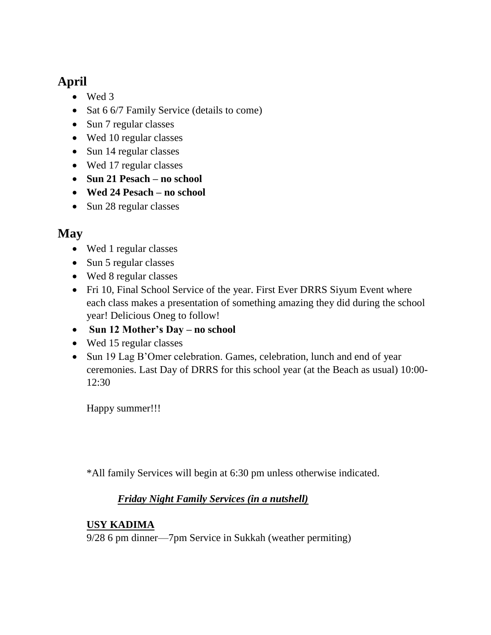# **April**

- Wed 3
- Sat 6 6/7 Family Service (details to come)
- Sun 7 regular classes
- Wed 10 regular classes
- Sun 14 regular classes
- Wed 17 regular classes
- **Sun 21 Pesach – no school**
- **Wed 24 Pesach – no school**
- Sun 28 regular classes

## **May**

- Wed 1 regular classes
- Sun 5 regular classes
- Wed 8 regular classes
- Fri 10, Final School Service of the year. First Ever DRRS Siyum Event where each class makes a presentation of something amazing they did during the school year! Delicious Oneg to follow!
- **Sun 12 Mother's Day – no school**
- Wed 15 regular classes
- Sun 19 Lag B'Omer celebration. Games, celebration, lunch and end of year ceremonies. Last Day of DRRS for this school year (at the Beach as usual) 10:00- 12:30

Happy summer!!!

\*All family Services will begin at 6:30 pm unless otherwise indicated.

#### *Friday Night Family Services (in a nutshell)*

#### **USY KADIMA**

9/28 6 pm dinner—7pm Service in Sukkah (weather permiting)